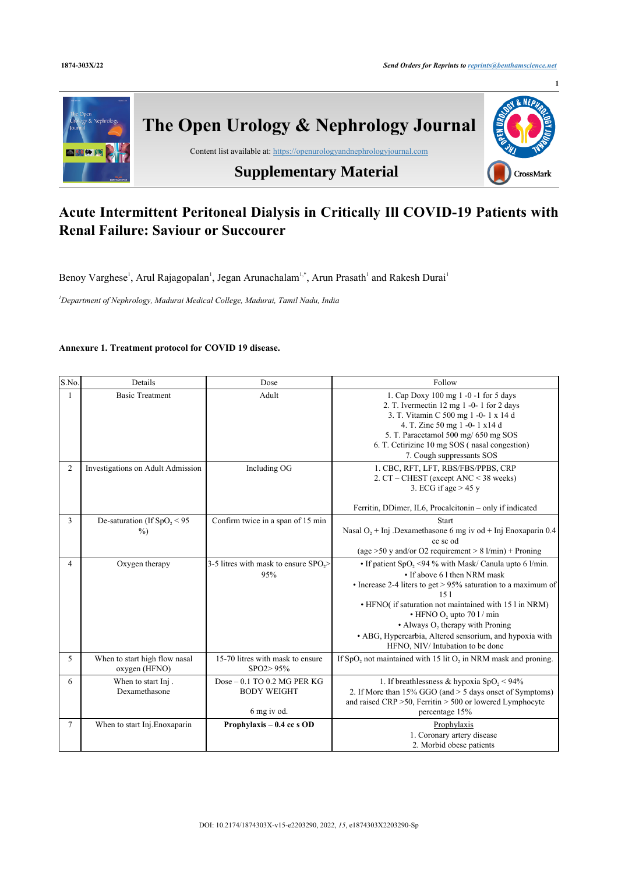

## **Acute Intermittent Peritoneal Dialysis in Critically Ill COVID-19 Patients with Renal Failure: Saviour or Succourer**

Benoy Varghese<sup>[1](#page-0-0)</sup>, Arul Rajagopalan<sup>1</sup>, Jegan Arunachalam<sup>1,[\\*](#page-0-0)</sup>, Arun Prasath<sup>1</sup> and Rakesh Durai<sup>1</sup>

<span id="page-0-0"></span>*<sup>1</sup>Department of Nephrology, Madurai Medical College, Madurai, Tamil Nadu, India*

## **Annexure 1. Treatment protocol for COVID 19 disease.**

| S.No.          | Details                                        | Dose                                                             | Follow                                                                                                                                                                                                                                                                                                                                                                                                                   |
|----------------|------------------------------------------------|------------------------------------------------------------------|--------------------------------------------------------------------------------------------------------------------------------------------------------------------------------------------------------------------------------------------------------------------------------------------------------------------------------------------------------------------------------------------------------------------------|
| 1              | <b>Basic Treatment</b>                         | Adult                                                            | 1. Cap Doxy 100 mg 1 -0 -1 for 5 days<br>2. T. Ivermectin 12 mg 1 -0- 1 for 2 days<br>3. T. Vitamin C 500 mg 1 -0-1 x 14 d<br>4. T. Zinc 50 mg 1 -0-1 x14 d<br>5. T. Paracetamol 500 mg/ 650 mg SOS<br>6. T. Cetirizine 10 mg SOS (nasal congestion)<br>7. Cough suppressants SOS                                                                                                                                        |
| $\overline{c}$ | Investigations on Adult Admission              | Including OG                                                     | 1. CBC, RFT, LFT, RBS/FBS/PPBS, CRP<br>2. CT – CHEST (except ANC < 38 weeks)<br>3. ECG if age $> 45$ y<br>Ferritin, DDimer, IL6, Procalcitonin - only if indicated                                                                                                                                                                                                                                                       |
| 3              | De-saturation (If $SpO, < 95$<br>$\%$ )        | Confirm twice in a span of 15 min                                | Start<br>Nasal $O_2$ + Inj .Dexamethasone 6 mg iv od + Inj Enoxaparin 0.4<br>cc sc od<br>(age $>50$ y and/or O2 requirement $> 8$ l/min) + Proning                                                                                                                                                                                                                                                                       |
| 4              | Oxygen therapy                                 | 3-5 litres with mask to ensure SPO <sub>2</sub> ><br>95%         | • If patient $SpO2 < 94$ % with Mask/ Canula upto 6 1/min.<br>• If above 6 1 then NRM mask<br>• Increase 2-4 liters to get $> 95\%$ saturation to a maximum of<br>151<br>• HFNO( if saturation not maintained with 15 l in NRM)<br>$\cdot$ HFNO O, upto 70 l / min<br>$\bullet$ Always O <sub>2</sub> therapy with Proning<br>• ABG, Hypercarbia, Altered sensorium, and hypoxia with<br>HFNO, NIV/Intubation to be done |
| 5              | When to start high flow nasal<br>oxygen (HFNO) | 15-70 litres with mask to ensure<br>SPO2>95%                     | If SpO, not maintained with 15 lit O, in NRM mask and proning.                                                                                                                                                                                                                                                                                                                                                           |
| 6              | When to start Inj.<br>Dexamethasone            | $Dose-0.1$ TO 0.2 MG PER KG<br><b>BODY WEIGHT</b><br>6 mg iv od. | 1. If breathlessness & hypoxia SpO, < $94\%$<br>2. If More than 15% GGO (and > 5 days onset of Symptoms)<br>and raised CRP > 50, Ferritin > 500 or lowered Lymphocyte<br>percentage 15%                                                                                                                                                                                                                                  |
| $\tau$         | When to start Inj. Enoxaparin                  | Prophylaxis - 0.4 cc s OD                                        | Prophylaxis<br>1. Coronary artery disease<br>2. Morbid obese patients                                                                                                                                                                                                                                                                                                                                                    |